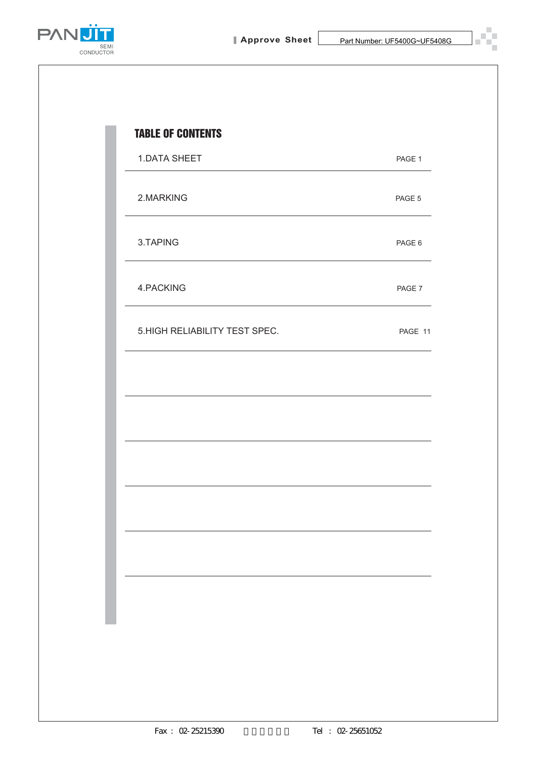

E г

÷,

П



| <b>1.DATA SHEET</b>           | PAGE 1  |
|-------------------------------|---------|
| 2.MARKING                     | PAGE 5  |
| 3.TAPING                      | PAGE 6  |
| 4.PACKING                     | PAGE 7  |
| 5.HIGH RELIABILITY TEST SPEC. | PAGE 11 |
|                               |         |
|                               |         |
|                               |         |
|                               |         |
|                               |         |
|                               |         |
|                               |         |
|                               |         |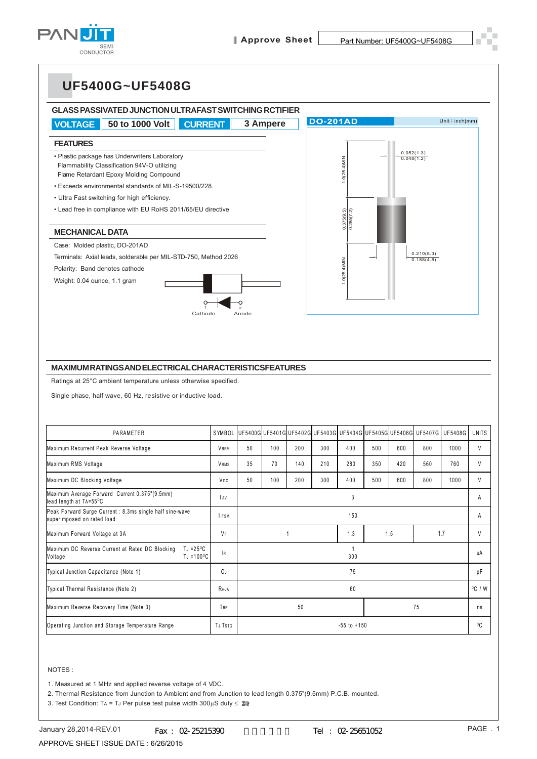





#### **MAXIMUM RATINGS AND ELECTRICAL CHARACTERISTICSFEATURES**

| Flammability Classification 94V-O utilizing<br>Flame Retardant Epoxy Molding Compound                    |             |       |     |     |                                                         | $1.0(25.4)$ MIN.         |     |     | 0.048(1.2)               |         |              |
|----------------------------------------------------------------------------------------------------------|-------------|-------|-----|-----|---------------------------------------------------------|--------------------------|-----|-----|--------------------------|---------|--------------|
| · Exceeds environmental standards of MIL-S-19500/228.                                                    |             |       |     |     |                                                         |                          |     |     |                          |         |              |
| • Ultra Fast switching for high efficiency.                                                              |             |       |     |     |                                                         |                          |     |     |                          |         |              |
| • Lead free in compliance with EU RoHS 2011/65/EU directive                                              |             |       |     |     |                                                         | 0.375(9.5)<br>0.285(7.2) |     |     |                          |         |              |
| <b>MECHANICAL DATA</b>                                                                                   |             |       |     |     |                                                         |                          |     |     |                          |         |              |
| Case: Molded plastic, DO-201AD                                                                           |             |       |     |     |                                                         |                          |     |     |                          |         |              |
| Terminals: Axial leads, solderable per MIL-STD-750, Method 2026                                          |             |       |     |     |                                                         |                          |     |     | 0.210(5.3)<br>0.188(4.8) |         |              |
| Polarity: Band denotes cathode                                                                           |             |       |     |     |                                                         | $1.0(25.4)$ MIN.         |     |     |                          |         |              |
| Weight: 0.04 ounce, 1.1 gram                                                                             |             |       |     |     |                                                         |                          |     |     |                          |         |              |
| Cathode                                                                                                  |             | Anode |     |     |                                                         |                          |     |     |                          |         |              |
|                                                                                                          |             |       |     |     |                                                         |                          |     |     |                          |         |              |
|                                                                                                          |             |       |     |     |                                                         |                          |     |     |                          |         |              |
| <b>MAXIMUMRATINGSANDELECTRICAL CHARACTERISTICSFEATURES</b>                                               |             |       |     |     |                                                         |                          |     |     |                          |         |              |
| Ratings at 25°C ambient temperature unless otherwise specified.                                          |             |       |     |     |                                                         |                          |     |     |                          |         |              |
|                                                                                                          |             |       |     |     |                                                         |                          |     |     |                          |         |              |
| Single phase, half wave, 60 Hz, resistive or inductive load.                                             |             |       |     |     |                                                         |                          |     |     |                          |         |              |
| PARAMETER                                                                                                | SYMBOL      |       |     |     | UF5400G UF5401G UF5402G UF5403G UF5404G UF5405G UF5406G |                          |     |     | UF5407G                  | UF5408G | <b>UNITS</b> |
| Maximum Recurrent Peak Reverse Voltage                                                                   | <b>VRRM</b> | 50    | 100 | 200 | 300                                                     | 400                      | 500 | 600 | 800                      | 1000    | V            |
| Maximum RMS Voltage                                                                                      | VRMS        | 35    | 70  | 140 | 210                                                     | 280                      | 350 | 420 | 560                      | 760     | $\vee$       |
| Maximum DC Blocking Voltage                                                                              | VDC         | 50    | 100 | 200 | 300                                                     | 400                      | 500 | 600 | 800                      | 1000    | V            |
| Maximum Average Forward Current 0.375"(9.5mm)<br>lead length at TA=55°C                                  | <b>AV</b>   |       |     |     |                                                         | 3                        |     |     |                          |         | Α            |
| Peak Forward Surge Current : 8.3ms single half sine-wave<br>superimposed on rated load                   | I FSM       |       |     |     |                                                         | 150                      |     |     |                          |         | Α            |
| Maximum Forward Voltage at 3A                                                                            | <b>VF</b>   |       |     | 1   |                                                         | 1.3                      |     | 1.5 |                          | 1.7     | V            |
| Maximum DC Reverse Current at Rated DC Blocking<br>TJ = $25^{\circ}$ C<br>$TJ = 100^{\circ}C$<br>Voltage | 1R          |       |     |     |                                                         | $\mathbf{1}$<br>300      |     |     |                          |         | иA           |
| Typical Junction Capacitance (Note 1)                                                                    | СJ          |       |     |     |                                                         | 75                       |     |     |                          |         | рF           |
| Typical Thermal Resistance (Note 2)                                                                      | Roja        |       |     |     |                                                         | 60                       |     |     |                          |         | °C⁄W         |
| Maximum Reverse Recovery Time (Note 3)                                                                   | TRR         |       |     | 50  |                                                         |                          |     |     | 75                       |         | ns           |

#### NOTES :

1. Measured at 1 MHz and applied reverse voltage of 4 VDC.

2. Thermal Resistance from Junction to Ambient and from Junction to lead length 0.375"(9.5mm) P.C.B. mounted.

3. Test Condition: TA = TJ Per pulse test pulse width  $300\mu S$  duty  $\leq 2\%$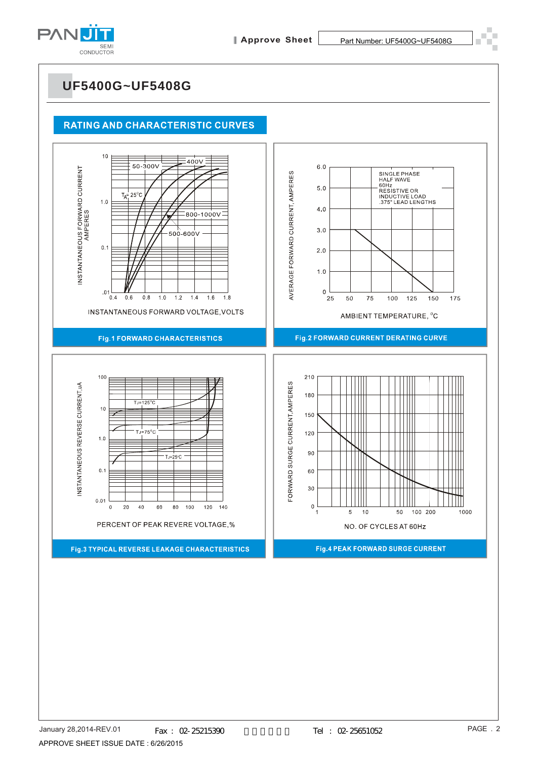

#### **RATING AND CHARACTERISTIC CURVES**

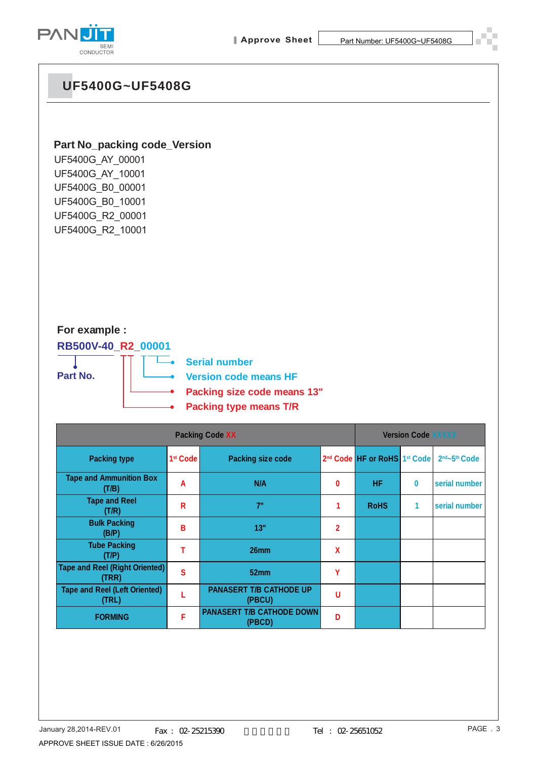



#### **Part No\_packing code\_Version**

UF5400G\_AY\_00001 UF5400G\_AY\_10001 UF5400G\_B0\_00001 UF5400G\_B0\_10001 UF5400G\_R2\_00001 UF5400G\_R2\_10001

#### **For example :**

**RB500V-40\_R2\_00001 Part No.**

**Serial number**

**Version code means HF**

- **Packing size code means 13"**
- **Packing type means T/R**

|                                                | <b>Version Code XXXXX</b> |                                            |                |                                                      |   |                                       |
|------------------------------------------------|---------------------------|--------------------------------------------|----------------|------------------------------------------------------|---|---------------------------------------|
| <b>Packing type</b>                            | 1 <sup>st</sup> Code      | <b>Packing size code</b>                   |                | 2 <sup>nd</sup> Code HF or RoHS 1 <sup>st</sup> Code |   | 2 <sup>nd</sup> ~5 <sup>th</sup> Code |
| <b>Tape and Ammunition Box</b><br>(T/B)        | A                         | N/A                                        | 0              | <b>HF</b>                                            | 0 | serial number                         |
| <b>Tape and Reel</b><br>(T/R)                  | R                         | 7"                                         |                | <b>RoHS</b>                                          | 1 | serial number                         |
| <b>Bulk Packing</b><br>(B/P)                   | B                         | 13"                                        | $\overline{2}$ |                                                      |   |                                       |
| <b>Tube Packing</b><br>(T/P)                   | т                         | 26mm                                       | X              |                                                      |   |                                       |
| <b>Tape and Reel (Right Oriented)</b><br>(TRR) | S                         | 52mm                                       | γ              |                                                      |   |                                       |
| <b>Tape and Reel (Left Oriented)</b><br>(TRL)  |                           | <b>PANASERT T/B CATHODE UP</b><br>(PBCU)   | U              |                                                      |   |                                       |
| <b>FORMING</b>                                 | F                         | <b>PANASERT T/B CATHODE DOWN</b><br>(PBCD) | n              |                                                      |   |                                       |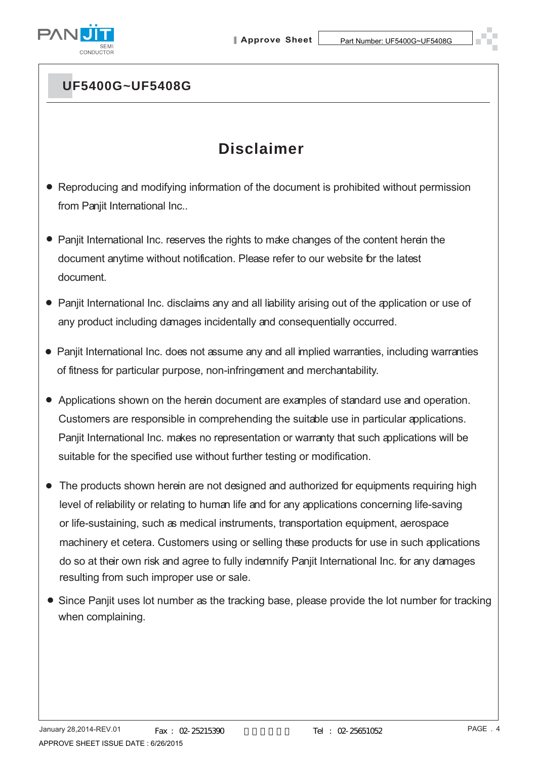

## **Disclaimer**

- Reproducing and modifying information of the document is prohibited without permission from Panjit International Inc..
- Panjit International Inc. reserves the rights to make changes of the content herein the document anytime without notification. Please refer to our website for the latest document.
- Panjit International Inc. disclaims any and all liability arising out of the application or use of any product including damages incidentally and consequentially occurred.
- Panjit International Inc. does not assume any and all implied warranties, including warranties of fitness for particular purpose, non-infringement and merchantability.
- Applications shown on the herein document are examples of standard use and operation. Customers are responsible in comprehending the suitable use in particular applications. Panjit International Inc. makes no representation or warranty that such applications will be suitable for the specified use without further testing or modification.
- The products shown herein are not designed and authorized for equipments requiring high level of reliability or relating to human life and for any applications concerning life-saving or life-sustaining, such as medical instruments, transportation equipment, aerospace machinery et cetera. Customers using or selling these products for use in such applications do so at their own risk and agree to fully indemnify Panjit International Inc. for any damages resulting from such improper use or sale.
- Since Panjit uses lot number as the tracking base, please provide the lot number for tracking when complaining.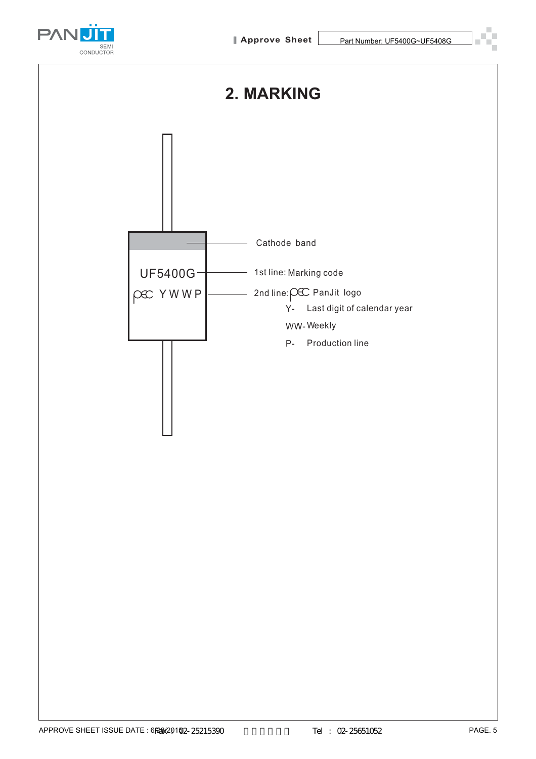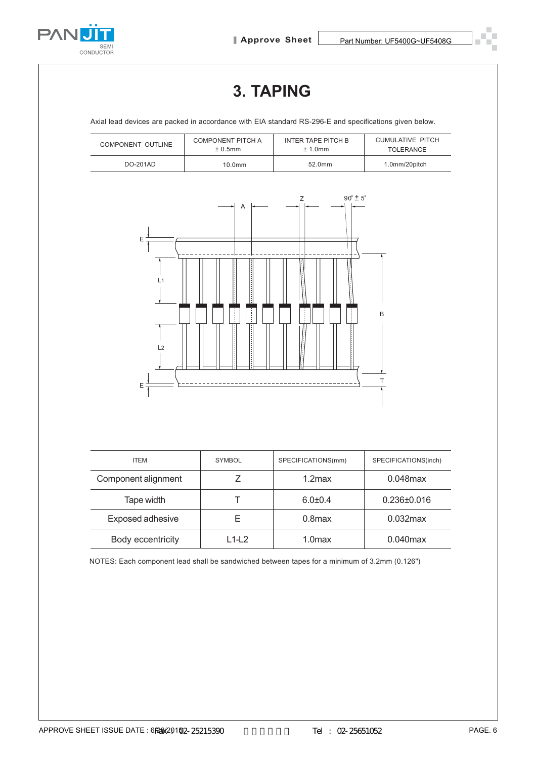

# **3. TAPING**

Axial lead devices are packed in accordance with EIA standard RS-296-E and specifications given below.

| COMPONENT OUTLINE | COMPONENT PITCH A  | INTER TAPE PITCH B | <b>CUMULATIVE PITCH</b> |  |
|-------------------|--------------------|--------------------|-------------------------|--|
|                   | $± 0.5$ mm         | $± 1.0$ mm         | <b>TOLERANCE</b>        |  |
| DO-201AD          | 10.0 <sub>mm</sub> | 52.0mm             | 1.0mm/20pitch           |  |



| <b>ITEM</b>         | <b>SYMBOL</b> | SPECIFICATIONS(mm) | SPECIFICATIONS(inch) |
|---------------------|---------------|--------------------|----------------------|
| Component alignment |               | $1.2$ max          | $0.048$ max          |
| Tape width          |               | $6.0 + 0.4$        | $0.236 \pm 0.016$    |
| Exposed adhesive    | ⊢             | $0.8$ max          | $0.032$ max          |
| Body eccentricity   | L1-L2         | 1.0 <sub>max</sub> | $0.040$ max          |

NOTES: Each component lead shall be sandwiched between tapes for a minimum of 3.2mm (0.126")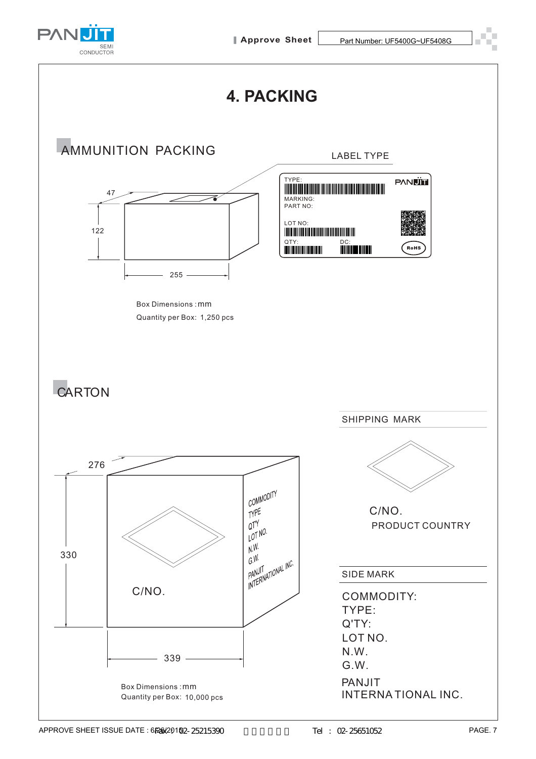



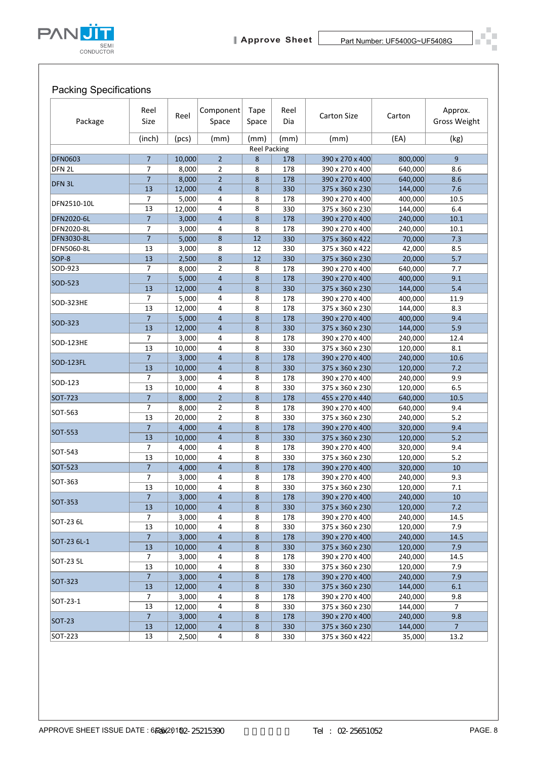

## Packing Specifications

| Package           | Reel<br>Size         | Reel            | Component<br>Space               | <b>Tape</b><br>Space | Reel<br>Dia | <b>Carton Size</b>                 | Carton             | Approx.<br><b>Gross Weight</b> |
|-------------------|----------------------|-----------------|----------------------------------|----------------------|-------------|------------------------------------|--------------------|--------------------------------|
|                   | (inch)               | (pcs)           | (mm)                             | (mm)                 | (mm)        | (mm)                               | (EA)               | (kg)                           |
|                   |                      |                 |                                  | <b>Reel Packing</b>  |             |                                    |                    |                                |
| <b>DFN0603</b>    | $\overline{7}$       | 10,000          | $\overline{2}$                   | 8                    | 178         | 390 x 270 x 400                    | 800,000            | 9                              |
| DFN 2L            | 7<br>$\overline{7}$  | 8,000<br>8,000  | $\overline{2}$<br>$\overline{2}$ | 8<br>8               | 178<br>178  | 390 x 270 x 400<br>390 x 270 x 400 | 640,000<br>640,000 | 8.6<br>8.6                     |
| DFN <sub>3L</sub> | 13                   | 12,000          | $\overline{4}$                   | 8                    | 330         | 375 x 360 x 230                    | 144,000            | 7.6                            |
|                   | 7                    | 5,000           | 4                                | 8                    | 178         | 390 x 270 x 400                    | 400,000            | 10.5                           |
| DFN2510-10L       | 13                   | 12,000          | 4                                | 8                    | 330         | 375 x 360 x 230                    | 144,000            | 6.4                            |
| DFN2020-6L        | $\overline{7}$       | 3,000           | $\overline{4}$                   | 8                    | 178         | 390 x 270 x 400                    | 240,000            | 10.1                           |
| DFN2020-8L        | 7                    | 3,000           | 4                                | 8                    | 178         | 390 x 270 x 400                    | 240,000            | 10.1                           |
| DFN3030-8L        | $\overline{7}$       | 5,000           | 8                                | 12                   | 330         | 375 x 360 x 422                    | 70,000             | 7.3                            |
| DFN5060-8L        | 13                   | 3,000           | 8                                | 12                   | 330         | 375 x 360 x 422                    | 42,000             | 8.5                            |
| SOP-8<br>SOD-923  | 13<br>7              | 2,500           | 8                                | 12                   | 330         | 375 x 360 x 230                    | 20,000             | 5.7                            |
|                   | $\overline{7}$       | 8,000<br>5,000  | $\overline{2}$<br>$\overline{4}$ | 8<br>8               | 178<br>178  | 390 x 270 x 400<br>390 x 270 x 400 | 640,000<br>400,000 | 7.7<br>9.1                     |
| SOD-523           | 13                   | 12,000          | $\overline{4}$                   | 8                    | 330         | 375 x 360 x 230                    | 144,000            | 5.4                            |
|                   | 7                    | 5,000           | 4                                | 8                    | 178         | 390 x 270 x 400                    | 400,000            | 11.9                           |
| SOD-323HE         | 13                   | 12,000          | 4                                | 8                    | 178         | 375 x 360 x 230                    | 144,000            | 8.3                            |
| SOD-323           | $\overline{7}$       | 5,000           | $\overline{4}$                   | 8                    | 178         | 390 x 270 x 400                    | 400,000            | 9.4                            |
|                   | 13                   | 12,000          | $\overline{4}$                   | 8                    | 330         | 375 x 360 x 230                    | 144,000            | 5.9                            |
| SOD-123HE         | 7                    | 3,000           | 4                                | 8                    | 178         | 390 x 270 x 400                    | 240,000            | 12.4                           |
|                   | 13                   | 10,000          | $\overline{4}$                   | 8                    | 330         | 375 x 360 x 230                    | 120,000            | 8.1                            |
| <b>SOD-123FL</b>  | $\overline{7}$       | 3,000           | $\overline{4}$                   | 8                    | 178         | 390 x 270 x 400                    | 240,000            | 10.6                           |
|                   | 13                   | 10,000          | $\overline{4}$                   | 8                    | 330         | 375 x 360 x 230                    | 120,000            | 7.2                            |
| SOD-123           | 7<br>13              | 3,000<br>10,000 | $\overline{4}$<br>4              | 8<br>8               | 178<br>330  | 390 x 270 x 400<br>375 x 360 x 230 | 240,000<br>120,000 | 9.9<br>6.5                     |
| SOT-723           | $\overline{7}$       | 8,000           | $\overline{2}$                   | 8                    | 178         | 455 x 270 x 440                    | 640,000            | 10.5                           |
|                   | 7                    | 8,000           | $\overline{2}$                   | 8                    | 178         | 390 x 270 x 400                    | 640,000            | 9.4                            |
| SOT-563           | 13                   | 20,000          | $\overline{2}$                   | 8                    | 330         | 375 x 360 x 230                    | 240,000            | 5.2                            |
| SOT-553           | $\overline{7}$       | 4,000           | $\overline{4}$                   | 8                    | 178         | 390 x 270 x 400                    | 320,000            | 9.4                            |
|                   | 13                   | 10,000          | $\overline{4}$                   | 8                    | 330         | 375 x 360 x 230                    | 120,000            | 5.2                            |
| SOT-543           | 7                    | 4,000           | 4                                | 8                    | 178         | 390 x 270 x 400                    | 320,000            | 9.4                            |
|                   | 13                   | 10,000          | 4                                | 8                    | 330         | 375 x 360 x 230                    | 120,000            | 5.2                            |
| SOT-523           | $\overline{7}$       | 4,000<br>3,000  | 4                                | 8                    | 178<br>178  | 390 x 270 x 400                    | 320,000<br>240,000 | 10<br>9.3                      |
| SOT-363           | 7<br>13              | 10,000          | 4<br>4                           | 8<br>8               | 330         | 390 x 270 x 400<br>375 x 360 x 230 | 120,000            | 7.1                            |
|                   | $\overline{7}$       | 3,000           | $\overline{4}$                   | 8                    | 178         | 390 x 270 x 400                    | 240,000            | 10                             |
| SOT-353           | 13                   | 10,000          | 4                                | 8                    | 330         | 375 x 360 x 230                    | 120,000            | 7.2                            |
| SOT-23 6L         | 7                    | 3,000           | 4                                | 8                    | 178         | 390 x 270 x 400                    | 240,000            | 14.5                           |
|                   | 13                   | 10,000          | 4                                | 8                    | 330         | 375 x 360 x 230                    | 120,000            | 7.9                            |
| SOT-23 6L-1       | $\overline{7}$       | 3,000           | $\overline{4}$                   | 8                    | 178         | 390 x 270 x 400                    | 240,000            | 14.5                           |
|                   | 13                   | 10,000          | 4                                | 8                    | 330         | 375 x 360 x 230                    | 120,000            | 7.9                            |
| SOT-23 5L         | 7                    | 3,000           | 4                                | 8                    | 178         | 390 x 270 x 400                    | 240,000            | 14.5                           |
|                   | 13<br>$\overline{7}$ | 10,000<br>3,000 | 4<br>$\overline{4}$              | 8<br>8               | 330<br>178  | 375 x 360 x 230<br>390 x 270 x 400 | 120,000<br>240,000 | 7.9<br>7.9                     |
| SOT-323           | 13                   | 12,000          | 4                                | 8                    | 330         | 375 x 360 x 230                    | 144,000            | 6.1                            |
|                   | 7                    | 3,000           | 4                                | 8                    | 178         | 390 x 270 x 400                    | 240,000            | 9.8                            |
| SOT-23-1          | 13                   | 12,000          | 4                                | 8                    | 330         | 375 x 360 x 230                    | 144,000            | $\overline{7}$                 |
| <b>SOT-23</b>     | $\overline{7}$       | 3,000           | $\overline{4}$                   | 8                    | 178         | 390 x 270 x 400                    | 240,000            | 9.8                            |
|                   | 13                   | 12,000          | 4                                | 8                    | 330         | 375 x 360 x 230                    | 144,000            | $\overline{7}$                 |
| SOT-223           | 13                   | 2,500           | 4                                | 8                    | 330         | 375 x 360 x 422                    | 35,000             | 13.2                           |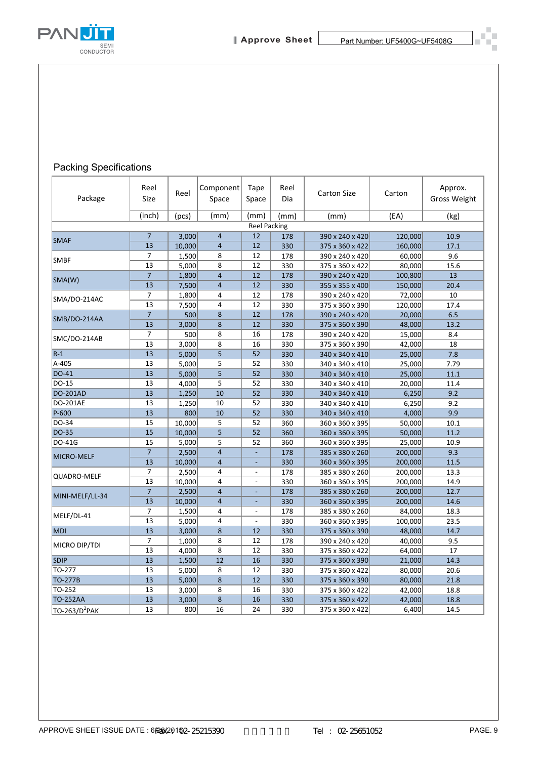

### Packing Specifications

|                           | Reel                 | Reel            | Component      | Tape                     | Reel        | <b>Carton Size</b>                 | Carton             | Approx.              |
|---------------------------|----------------------|-----------------|----------------|--------------------------|-------------|------------------------------------|--------------------|----------------------|
| Package                   | Size<br>(inch)       | (pcs)           | Space<br>(mm)  | Space<br>(mm)            | Dia<br>(mm) | (mm)                               | (EA)               | Gross Weight<br>(kg) |
|                           |                      |                 |                | <b>Reel Packing</b>      |             |                                    |                    |                      |
| <b>SMAF</b>               | $\overline{7}$       | 3,000           | $\overline{4}$ | 12                       | 178         | 390 x 240 x 420                    | 120,000            | 10.9                 |
|                           | 13                   | 10,000          | $\overline{4}$ | 12                       | 330         | 375 x 360 x 422                    | 160,000            | 17.1                 |
| <b>SMBF</b>               | 7<br>13              | 1,500           | 8<br>8         | 12<br>12                 | 178         | 390 x 240 x 420                    | 60,000             | 9.6                  |
|                           | $\overline{7}$       | 5,000<br>1,800  | $\overline{4}$ | 12                       | 330<br>178  | 375 x 360 x 422<br>390 x 240 x 420 | 80,000<br>100,800  | 15.6<br>13           |
| SMA(W)                    | 13                   | 7,500           | 4              | 12                       | 330         | 355 x 355 x 400                    | 150,000            | 20.4                 |
| SMA/DO-214AC              | 7                    | 1,800           | 4              | 12                       | 178         | 390 x 240 x 420                    | 72,000             | 10                   |
|                           | 13                   | 7,500           | 4              | 12                       | 330         | 375 x 360 x 390                    | 120,000            | 17.4                 |
| SMB/DO-214AA              | $\overline{7}$       | 500             | 8              | 12                       | 178         | 390 x 240 x 420                    | 20,000             | 6.5                  |
|                           | 13<br>7              | 3,000<br>500    | 8<br>8         | 12<br>16                 | 330<br>178  | 375 x 360 x 390                    | 48,000<br>15,000   | 13.2<br>8.4          |
| SMC/DO-214AB              | 13                   | 3,000           | 8              | 16                       | 330         | 390 x 240 x 420<br>375 x 360 x 390 | 42,000             | 18                   |
| $R-1$                     | 13                   | 5,000           | 5              | 52                       | 330         | 340 x 340 x 410                    | 25,000             | 7.8                  |
| A-405                     | 13                   | 5,000           | 5              | 52                       | 330         | 340 x 340 x 410                    | 25,000             | 7.79                 |
| DO-41                     | 13                   | 5,000           | 5              | 52                       | 330         | 340 x 340 x 410                    | 25,000             | 11.1                 |
| DO-15                     | 13                   | 4,000           | 5              | 52                       | 330         | 340 x 340 x 410                    | 20,000             | 11.4                 |
| <b>DO-201AD</b>           | 13                   | 1,250           | 10             | 52                       | 330         | 340 x 340 x 410                    | 6,250              | 9.2                  |
| DO-201AE<br>P-600         | 13<br>13             | 1,250           | 10<br>10       | 52<br>52                 | 330         | 340 x 340 x 410                    | 6,250              | 9.2                  |
| DO-34                     | 15                   | 800<br>10,000   | 5              | 52                       | 330<br>360  | 340 x 340 x 410<br>360 x 360 x 395 | 4,000<br>50,000    | 9.9<br>10.1          |
| DO-35                     | 15                   | 10,000          | 5              | 52                       | 360         | 360 x 360 x 395                    | 50,000             | 11.2                 |
| DO-41G                    | 15                   | 5,000           | 5              | 52                       | 360         | 360 x 360 x 395                    | 25,000             | 10.9                 |
| MICRO-MELF                | $\overline{7}$       | 2,500           | 4              |                          | 178         | 385 x 380 x 260                    | 200,000            | 9.3                  |
|                           | 13                   | 10,000          | 4              | $\overline{\phantom{a}}$ | 330         | 360 x 360 x 395                    | 200,000            | 11.5                 |
| QUADRO-MELF               | 7                    | 2,500           | 4              | $\overline{\phantom{a}}$ | 178         | 385 x 380 x 260                    | 200,000            | 13.3                 |
|                           | 13<br>$\overline{7}$ | 10,000          | 4              |                          | 330         | 360 x 360 x 395                    | 200,000            | 14.9                 |
| MINI-MELF/LL-34           | 13                   | 2,500<br>10,000 | 4<br>4         | $\overline{\phantom{a}}$ | 178<br>330  | 385 x 380 x 260<br>360 x 360 x 395 | 200,000<br>200,000 | 12.7<br>14.6         |
|                           | 7                    | 1,500           | 4              | $\overline{\phantom{a}}$ | 178         | 385 x 380 x 260                    | 84,000             | 18.3                 |
| MELF/DL-41                | 13                   | 5,000           | 4              |                          | 330         | 360 x 360 x 395                    | 100,000            | 23.5                 |
| <b>MDI</b>                | 13                   | 3,000           | 8              | 12                       | 330         | 375 x 360 x 390                    | 48,000             | 14.7                 |
| MICRO DIP/TDI             | $\overline{7}$       | 1,000           | 8              | 12                       | 178         | 390 x 240 x 420                    | 40,000             | 9.5                  |
|                           | 13                   | 4,000           | 8              | 12                       | 330         | 375 x 360 x 422                    | 64,000             | 17                   |
| <b>SDIP</b>               | 13                   | 1,500           | 12             | 16                       | 330         | 375 x 360 x 390                    | 21,000             | 14.3                 |
| TO-277<br>TO-277B         | 13<br>13             | 5,000<br>5,000  | 8<br>8         | 12<br>12                 | 330<br>330  | 375 x 360 x 422<br>375 x 360 x 390 | 80,000<br>80,000   | 20.6<br>21.8         |
| TO-252                    | 13                   | 3,000           | 8              | 16                       | 330         | 375 x 360 x 422                    | 42,000             | 18.8                 |
| <b>TO-252AA</b>           | 13                   | 3,000           | $\bf 8$        | 16                       | 330         | 375 x 360 x 422                    | 42,000             | 18.8                 |
| TO-263/D <sup>2</sup> PAK | 13                   | 800             | 16             | 24                       | 330         | 375 x 360 x 422                    | 6,400              | 14.5                 |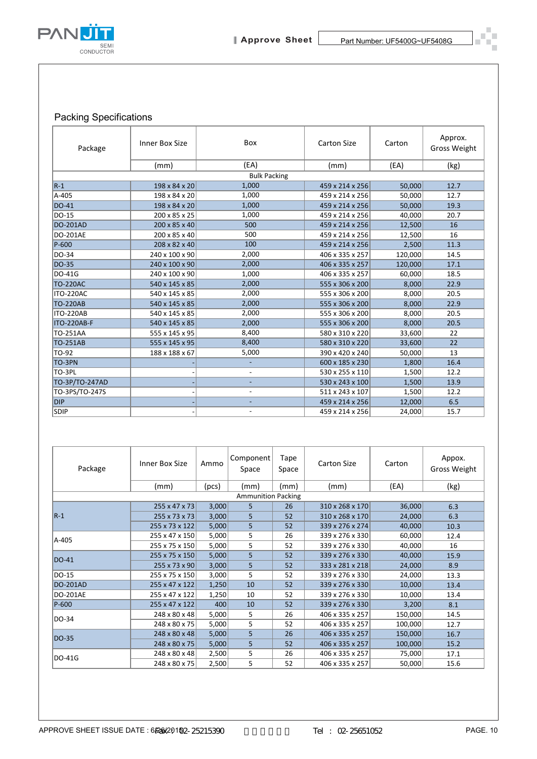

### Packing Specifications

| Package                                                                             | Inner Box Size                   |                                            | Box                       |                                    | <b>Carton Size</b>                 | Carton            | Approx.<br>Gross Weight       |
|-------------------------------------------------------------------------------------|----------------------------------|--------------------------------------------|---------------------------|------------------------------------|------------------------------------|-------------------|-------------------------------|
|                                                                                     | (mm)                             |                                            | (EA)                      |                                    | (mm)                               | (EA)              | (kg)                          |
|                                                                                     |                                  |                                            | <b>Bulk Packing</b>       |                                    |                                    |                   |                               |
| $R-1$                                                                               | 198 x 84 x 20                    |                                            | 1,000                     |                                    | 459 x 214 x 256                    | 50,000            | 12.7                          |
| A-405                                                                               | 198 x 84 x 20                    |                                            | 1,000                     |                                    | 459 x 214 x 256                    | 50,000            | 12.7                          |
| DO-41                                                                               | 198 x 84 x 20                    |                                            | 1,000                     |                                    | 459 x 214 x 256                    | 50,000            | 19.3                          |
| DO-15<br>DO-201AD                                                                   | 200 x 85 x 25                    |                                            | 1,000<br>500              |                                    | 459 x 214 x 256                    | 40,000            | 20.7                          |
| DO-201AE                                                                            | 200 x 85 x 40<br>200 x 85 x 40   |                                            | 500                       |                                    | 459 x 214 x 256<br>459 x 214 x 256 | 12,500<br>12,500  | 16<br>16                      |
| P-600                                                                               | 208 x 82 x 40                    |                                            | 100                       |                                    | 459 x 214 x 256                    | 2,500             | 11.3                          |
| DO-34                                                                               | 240 x 100 x 90                   |                                            | 2,000                     |                                    | 406 x 335 x 257                    | 120,000           | 14.5                          |
| DO-35                                                                               | 240 x 100 x 90                   |                                            | 2,000                     |                                    | 406 x 335 x 257                    | 120,000           | 17.1                          |
| DO-41G                                                                              | 240 x 100 x 90                   |                                            | 1,000                     |                                    | 406 x 335 x 257                    | 60,000            | 18.5                          |
| <b>TO-220AC</b>                                                                     | 540 x 145 x 85                   |                                            | 2,000                     |                                    | 555 x 306 x 200                    | 8,000             | 22.9                          |
| ITO-220AC                                                                           | 540 x 145 x 85                   |                                            | 2,000                     |                                    | 555 x 306 x 200                    | 8,000             | 20.5                          |
| <b>TO-220AB</b>                                                                     | 540 x 145 x 85                   |                                            | 2,000                     |                                    | 555 x 306 x 200                    | 8,000             | 22.9                          |
| ITO-220AB                                                                           | 540 x 145 x 85                   |                                            | 2,000                     |                                    | 555 x 306 x 200                    | 8,000             | 20.5                          |
| ITO-220AB-F<br>TO-251AA                                                             | 540 x 145 x 85<br>555 x 145 x 95 | 2,000<br>8,400                             |                           | 555 x 306 x 200<br>580 x 310 x 220 | 8,000<br>33,600                    | 20.5<br>22        |                               |
| TO-251AB                                                                            | 555 x 145 x 95                   | 8,400                                      |                           | 580 x 310 x 220                    | 33,600                             | 22                |                               |
| TO-92                                                                               | 188 x 188 x 67                   | 5,000                                      |                           |                                    | 390 x 420 x 240                    | 50,000            | 13                            |
| TO-3PN                                                                              |                                  | $\overline{\phantom{a}}$                   |                           | 600 x 185 x 230                    | 1,800                              | 16.4              |                               |
| TO-3PL                                                                              |                                  | $\overline{\phantom{a}}$                   |                           | 530 x 255 x 110                    | 1,500                              | 12.2              |                               |
| TO-3P/TO-247AD                                                                      |                                  | $\overline{a}$                             |                           | 530 x 243 x 100                    | 1,500                              | 13.9              |                               |
| TO-3PS/TO-247S                                                                      |                                  | $\overline{\phantom{a}}$                   |                           | 511 x 243 x 107                    | 1,500                              | 12.2              |                               |
| <b>DIP</b><br>SDIP                                                                  |                                  | $\overline{a}$<br>$\overline{\phantom{a}}$ |                           | 459 x 214 x 256<br>459 x 214 x 256 | 12,000<br>24,000                   | $6.5\,$<br>15.7   |                               |
| Package                                                                             | Inner Box Size                   | Ammo                                       | Component<br>Space        | Tape<br>Space                      | <b>Carton Size</b>                 | Carton            | Appox.<br><b>Gross Weight</b> |
|                                                                                     | (mm)                             | (pcs)                                      | (mm)                      | (mm)                               | (mm)                               | (EA)              | (kg)                          |
|                                                                                     |                                  |                                            | <b>Ammunition Packing</b> |                                    |                                    |                   |                               |
|                                                                                     |                                  |                                            |                           |                                    |                                    |                   |                               |
|                                                                                     | 255 x 47 x 73                    | 3,000                                      | 5                         | 26                                 | 310 x 268 x 170                    | 36,000            | 6.3                           |
|                                                                                     | 255 x 73 x 73                    | 3,000                                      | 5                         | 52                                 | 310 x 268 x 170                    | 24,000            | 6.3                           |
|                                                                                     | 255 x 73 x 122                   | 5,000                                      | 5                         | 52                                 | 339 x 276 x 274                    | 40,000            | 10.3                          |
|                                                                                     | 255 x 47 x 150                   | 5,000                                      | 5                         | 26                                 | 339 x 276 x 330                    | 60,000            | 12.4                          |
|                                                                                     | 255 x 75 x 150                   | 5,000                                      | 5                         | 52                                 | 339 x 276 x 330                    | 40,000            | 16                            |
|                                                                                     | 255 x 75 x 150                   | 5,000                                      | 5                         | 52                                 | 339 x 276 x 330                    | 40,000            | 15.9                          |
|                                                                                     | 255 x 73 x 90<br>255 x 75 x 150  | 3,000<br>3,000                             | 5<br>5                    | 52<br>52                           | 333 x 281 x 218<br>339 x 276 x 330 | 24,000<br>24,000  | 8.9<br>13.3                   |
|                                                                                     | 255 x 47 x 122                   | 1,250                                      | $10\,$                    | 52                                 | 339 x 276 x 330                    | 10,000            | 13.4                          |
|                                                                                     | 255 x 47 x 122                   | 1,250                                      | 10                        | 52                                 | 339 x 276 x 330                    | 10,000            | 13.4                          |
|                                                                                     | 255 x 47 x 122                   | 400                                        | 10                        | 52                                 | 339 x 276 x 330                    | 3,200             | 8.1                           |
|                                                                                     | 248 x 80 x 48                    | 5,000                                      | 5                         | 26                                 | 406 x 335 x 257                    | 150,000           | 14.5                          |
|                                                                                     | 248 x 80 x 75                    | 5,000                                      | 5                         | 52                                 | 406 x 335 x 257                    | 100,000           | 12.7                          |
|                                                                                     | 248 x 80 x 48                    | 5,000                                      | 5                         | 26                                 | 406 x 335 x 257                    | 150,000           | 16.7                          |
| $R-1$<br>A-405<br>DO-41<br>DO-15<br>DO-201AD<br>DO-201AE<br>P-600<br>DO-34<br>DO-35 | 248 x 80 x 75<br>248 x 80 x 48   | 5,000<br>2,500                             | 5<br>5                    | 52<br>26                           | 406 x 335 x 257<br>406 x 335 x 257 | 100,000<br>75,000 | 15.2<br>17.1                  |

| Package                   | Inner Box Size | Ammo  | Component<br>Space | Tape<br>Space | <b>Carton Size</b> | Carton  | Appox.<br><b>Gross Weight</b> |
|---------------------------|----------------|-------|--------------------|---------------|--------------------|---------|-------------------------------|
|                           | (mm)           | (pcs) | (mm)               | (mm)          | (mm)               | (EA)    | (kg)                          |
| <b>Ammunition Packing</b> |                |       |                    |               |                    |         |                               |
|                           | 255 x 47 x 73  | 3,000 | 5                  | 26            | 310 x 268 x 170    | 36,000  | 6.3                           |
| $ R-1 $                   | 255 x 73 x 73  | 3,000 | 5                  | 52            | 310 x 268 x 170    | 24,000  | 6.3                           |
|                           | 255 x 73 x 122 | 5,000 | 5                  | 52            | 339 x 276 x 274    | 40,000  | 10.3                          |
| A-405                     | 255 x 47 x 150 | 5,000 | 5                  | 26            | 339 x 276 x 330    | 60,000  | 12.4                          |
|                           | 255 x 75 x 150 | 5,000 | 5                  | 52            | 339 x 276 x 330    | 40,000  | 16                            |
| DO-41                     | 255 x 75 x 150 | 5,000 | 5                  | 52            | 339 x 276 x 330    | 40,000  | 15.9                          |
|                           | 255 x 73 x 90  | 3,000 | 5                  | 52            | 333 x 281 x 218    | 24,000  | 8.9                           |
| DO-15                     | 255 x 75 x 150 | 3,000 | 5                  | 52            | 339 x 276 x 330    | 24,000  | 13.3                          |
| <b>DO-201AD</b>           | 255 x 47 x 122 | 1,250 | 10                 | 52            | 339 x 276 x 330    | 10,000  | 13.4                          |
| <b>DO-201AE</b>           | 255 x 47 x 122 | 1,250 | 10                 | 52            | 339 x 276 x 330    | 10,000  | 13.4                          |
| P-600                     | 255 x 47 x 122 | 400   | 10                 | 52            | 339 x 276 x 330    | 3,200   | 8.1                           |
| DO-34                     | 248 x 80 x 48  | 5,000 | 5                  | 26            | 406 x 335 x 257    | 150,000 | 14.5                          |
|                           | 248 x 80 x 75  | 5,000 | 5                  | 52            | 406 x 335 x 257    | 100,000 | 12.7                          |
| DO-35                     | 248 x 80 x 48  | 5,000 | 5                  | 26            | 406 x 335 x 257    | 150,000 | 16.7                          |
|                           | 248 x 80 x 75  | 5,000 | 5                  | 52            | 406 x 335 x 257    | 100,000 | 15.2                          |
| DO-41G                    | 248 x 80 x 48  | 2,500 | 5                  | 26            | 406 x 335 x 257    | 75,000  | 17.1                          |
|                           | 248 x 80 x 75  | 2,500 | 5                  | 52            | 406 x 335 x 257    | 50,000  | 15.6                          |